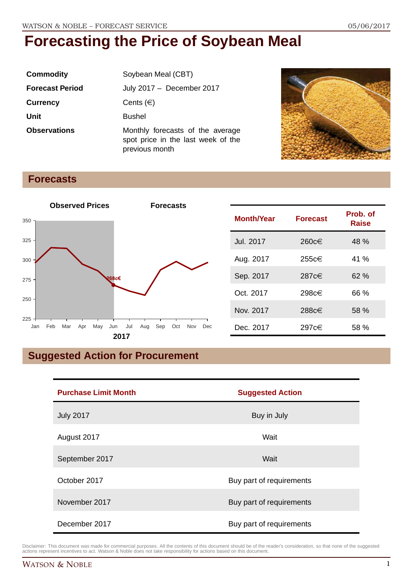| <b>Commodity</b>       | Soybean Meal (CBT)                                                                       |  |
|------------------------|------------------------------------------------------------------------------------------|--|
| <b>Forecast Period</b> | July 2017 - December 2017                                                                |  |
| <b>Currency</b>        | Cents $(\in)$                                                                            |  |
| <b>Unit</b>            | <b>Bushel</b>                                                                            |  |
| <b>Observations</b>    | Monthly forecasts of the average<br>spot price in the last week of the<br>previous month |  |



### **Forecasts**



| <b>Month/Year</b> | <b>Forecast</b> | Prob. of<br>Raise |
|-------------------|-----------------|-------------------|
| Jul. 2017         | 260c€           | 48 %              |
| Aug. 2017         | 255c€           | 41 %              |
| Sep. 2017         | 287c€           | 62%               |
| Oct. 2017         | 298c€           | 66 %              |
| Nov. 2017         | 288c€           | 58 %              |
| Dec. 2017         | 297c€           | 58 %              |

## **Suggested Action for Procurement**

| <b>Purchase Limit Month</b> | <b>Suggested Action</b>  |  |
|-----------------------------|--------------------------|--|
| <b>July 2017</b>            | Buy in July              |  |
| August 2017                 | Wait                     |  |
| September 2017              | Wait                     |  |
| October 2017                | Buy part of requirements |  |
| November 2017               | Buy part of requirements |  |
| December 2017               | Buy part of requirements |  |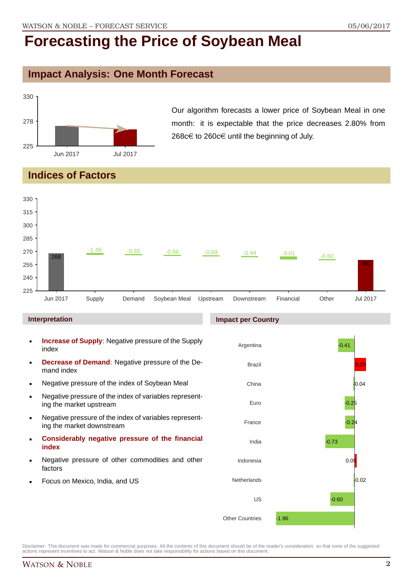## **Impact Analysis: One Month Forecast**



Our algorithm forecasts a lower price of Soybean Meal in one month: it is expectable that the price decreases 2.80% from 268c€ to 260c€ until the beginning of July.

## **Indices of Factors**



#### **Interpretation**

- **Increase of Supply**: Negative pressure of the Supply index
- **Decrease of Demand**: Negative pressure of the Demand index
- **Negative pressure of the index of Soybean Meal**
- Negative pressure of the index of variables representing the market upstream
- Negative pressure of the index of variables representing the market downstream
- **Considerably negative pressure of the financial index**
- Negative pressure of other commodities and other factors
- Focus on Mexico, India, and US

#### **Impact per Country**

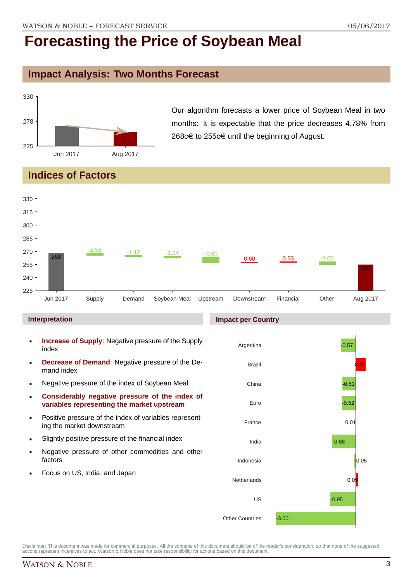### **Impact Analysis: Two Months Forecast**



Our algorithm forecasts a lower price of Soybean Meal in two months: it is expectable that the price decreases 4.78% from 268c€ to 255c€ until the beginning of August.

### **Indices of Factors**



#### **Interpretation**

- **Increase of Supply**: Negative pressure of the Supply index
- **Decrease of Demand**: Negative pressure of the Demand index
- **Negative pressure of the index of Soybean Meal**
- **Considerably negative pressure of the index of variables representing the market upstream**
- **Positive pressure of the index of variables represent**ing the market downstream
- Slightly positive pressure of the financial index
- **Negative pressure of other commodities and other** factors
- Focus on US, India, and Japan

#### **Impact per Country**

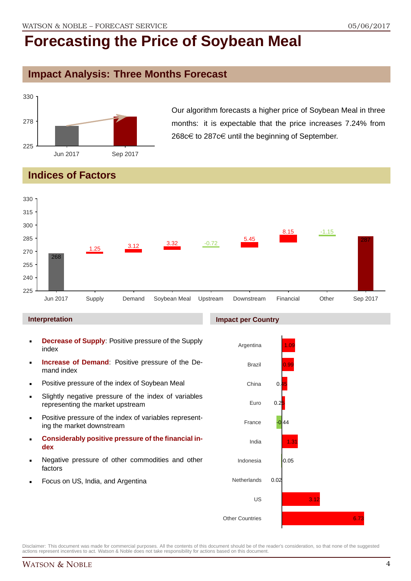## **Impact Analysis: Three Months Forecast**



Our algorithm forecasts a higher price of Soybean Meal in three months: it is expectable that the price increases 7.24% from 268 $c$ € to 287 $c$ € until the beginning of September.

## **Indices of Factors**



#### **Interpretation**

- **Decrease of Supply**: Positive pressure of the Supply index
- **Increase of Demand**: Positive pressure of the Demand index
- **Positive pressure of the index of Soybean Meal**
- Slightly negative pressure of the index of variables representing the market upstream
- Positive pressure of the index of variables representing the market downstream
- **Considerably positive pressure of the financial index**
- Negative pressure of other commodities and other factors
- Focus on US, India, and Argentina

#### **Impact per Country**

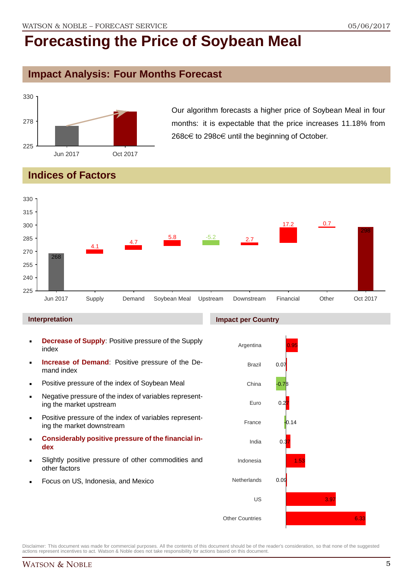### **Impact Analysis: Four Months Forecast**



Our algorithm forecasts a higher price of Soybean Meal in four months: it is expectable that the price increases 11.18% from 268 $c€$  to 298 $c€$  until the beginning of October.

## **Indices of Factors**



#### **Interpretation**

- **Decrease of Supply**: Positive pressure of the Supply index
- **Increase of Demand**: Positive pressure of the Demand index
- **Positive pressure of the index of Soybean Meal**
- Negative pressure of the index of variables representing the market upstream
- Positive pressure of the index of variables representing the market downstream
- **Considerably positive pressure of the financial index**
- Slightly positive pressure of other commodities and other factors
- Focus on US, Indonesia, and Mexico

#### **Impact per Country**

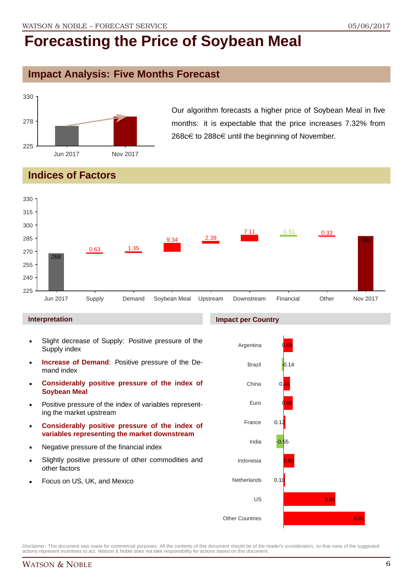## **Impact Analysis: Five Months Forecast**



Our algorithm forecasts a higher price of Soybean Meal in five months: it is expectable that the price increases 7.32% from 268 $c$ € to 288 $c$ ∈ until the beginning of November.

## **Indices of Factors**



#### **Interpretation**

- Slight decrease of Supply: Positive pressure of the Supply index
- **Increase of Demand**: Positive pressure of the Demand index
- **Considerably positive pressure of the index of Soybean Meal**
- Positive pressure of the index of variables representing the market upstream
- **Considerably positive pressure of the index of variables representing the market downstream**
- Negative pressure of the financial index
- Slightly positive pressure of other commodities and other factors
- Focus on US, UK, and Mexico

#### **Impact per Country**



Disclaimer: This document was made for commercial purposes. All the contents of this document should be of the reader's consideration, so that none of the suggested actions represent incentives to act. Watson & Noble does not take responsibility for actions based on this document.

### WATSON & NOBLE 6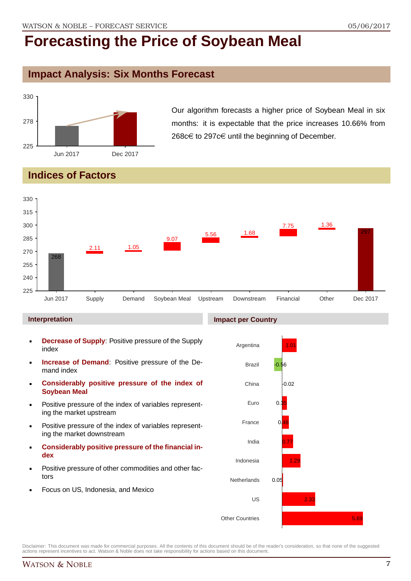### **Impact Analysis: Six Months Forecast**



Our algorithm forecasts a higher price of Soybean Meal in six months: it is expectable that the price increases 10.66% from 268 $c$ € to 297 $c$ € until the beginning of December.

## **Indices of Factors**



#### **Interpretation**

- **Decrease of Supply**: Positive pressure of the Supply index
- **Increase of Demand**: Positive pressure of the Demand index
- **Considerably positive pressure of the index of Soybean Meal**
- Positive pressure of the index of variables representing the market upstream
- Positive pressure of the index of variables representing the market downstream
- **Considerably positive pressure of the financial index**
- Positive pressure of other commodities and other factors
- Focus on US, Indonesia, and Mexico

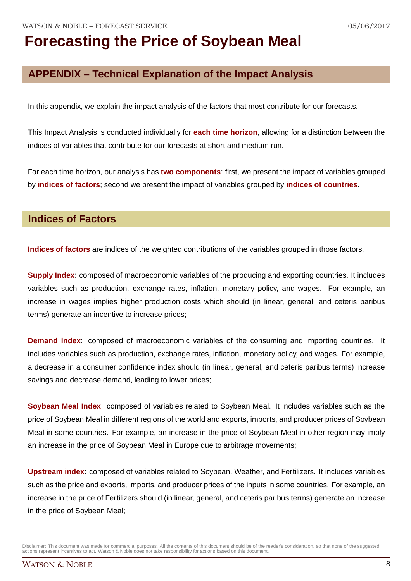## **APPENDIX – Technical Explanation of the Impact Analysis**

In this appendix, we explain the impact analysis of the factors that most contribute for our forecasts.

This Impact Analysis is conducted individually for **each time horizon**, allowing for a distinction between the indices of variables that contribute for our forecasts at short and medium run.

For each time horizon, our analysis has **two components**: first, we present the impact of variables grouped by **indices of factors**; second we present the impact of variables grouped by **indices of countries**.

### **Indices of Factors**

**Indices of factors** are indices of the weighted contributions of the variables grouped in those factors.

**Supply Index**: composed of macroeconomic variables of the producing and exporting countries. It includes variables such as production, exchange rates, inflation, monetary policy, and wages. For example, an increase in wages implies higher production costs which should (in linear, general, and ceteris paribus terms) generate an incentive to increase prices;

**Demand index**: composed of macroeconomic variables of the consuming and importing countries. It includes variables such as production, exchange rates, inflation, monetary policy, and wages. For example, a decrease in a consumer confidence index should (in linear, general, and ceteris paribus terms) increase savings and decrease demand, leading to lower prices;

**Soybean Meal Index**: composed of variables related to Soybean Meal. It includes variables such as the price of Soybean Meal in different regions of the world and exports, imports, and producer prices of Soybean Meal in some countries. For example, an increase in the price of Soybean Meal in other region may imply an increase in the price of Soybean Meal in Europe due to arbitrage movements;

**Upstream index**: composed of variables related to Soybean, Weather, and Fertilizers. It includes variables such as the price and exports, imports, and producer prices of the inputs in some countries. For example, an increase in the price of Fertilizers should (in linear, general, and ceteris paribus terms) generate an increase in the price of Soybean Meal;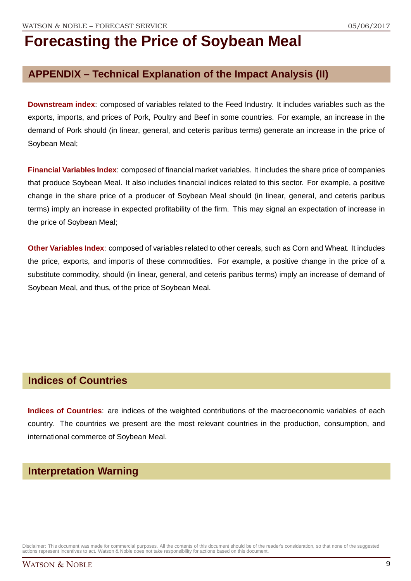## **APPENDIX – Technical Explanation of the Impact Analysis (II)**

**Downstream index**: composed of variables related to the Feed Industry. It includes variables such as the exports, imports, and prices of Pork, Poultry and Beef in some countries. For example, an increase in the demand of Pork should (in linear, general, and ceteris paribus terms) generate an increase in the price of Soybean Meal;

**Financial Variables Index**: composed of financial market variables. It includes the share price of companies that produce Soybean Meal. It also includes financial indices related to this sector. For example, a positive change in the share price of a producer of Soybean Meal should (in linear, general, and ceteris paribus terms) imply an increase in expected profitability of the firm. This may signal an expectation of increase in the price of Soybean Meal;

**Other Variables Index**: composed of variables related to other cereals, such as Corn and Wheat. It includes the price, exports, and imports of these commodities. For example, a positive change in the price of a substitute commodity, should (in linear, general, and ceteris paribus terms) imply an increase of demand of Soybean Meal, and thus, of the price of Soybean Meal.

### **Indices of Countries**

**Indices of Countries**: are indices of the weighted contributions of the macroeconomic variables of each country. The countries we present are the most relevant countries in the production, consumption, and international commerce of Soybean Meal.

### **Interpretation Warning**